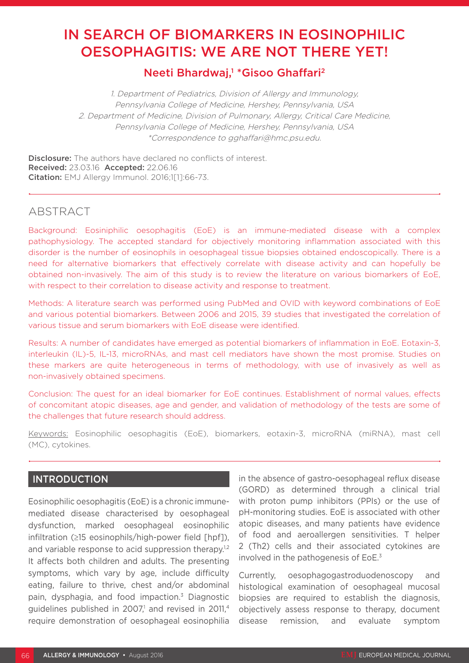# IN SEARCH OF BIOMARKERS IN EOSINOPHILIC OESOPHAGITIS: WE ARE NOT THERE YET!

# Neeti Bhardwaj,<sup>1</sup> \* Gisoo Ghaffari<sup>2</sup>

1. Department of Pediatrics, Division of Allergy and Immunology, Pennsylvania College of Medicine, Hershey, Pennsylvania, USA 2. Department of Medicine, Division of Pulmonary, Allergy, Critical Care Medicine, Pennsylvania College of Medicine, Hershey, Pennsylvania, USA \*Correspondence to gghaffari@hmc.psu.edu.

**Disclosure:** The authors have declared no conflicts of interest. Received: 23.03.16 Accepted: 22.06.16 Citation: EMJ Allergy Immunol. 2016;1[1]:66-73.

# ABSTRACT

Background: Eosiniphilic oesophagitis (EoE) is an immune-mediated disease with a complex pathophysiology. The accepted standard for objectively monitoring inflammation associated with this disorder is the number of eosinophils in oesophageal tissue biopsies obtained endoscopically. There is a need for alternative biomarkers that effectively correlate with disease activity and can hopefully be obtained non-invasively. The aim of this study is to review the literature on various biomarkers of EoE, with respect to their correlation to disease activity and response to treatment.

Methods: A literature search was performed using PubMed and OVID with keyword combinations of EoE and various potential biomarkers. Between 2006 and 2015, 39 studies that investigated the correlation of various tissue and serum biomarkers with EoE disease were identified.

Results: A number of candidates have emerged as potential biomarkers of inflammation in EoE. Eotaxin-3, interleukin (IL)-5, IL-13, microRNAs, and mast cell mediators have shown the most promise. Studies on these markers are quite heterogeneous in terms of methodology, with use of invasively as well as non-invasively obtained specimens.

Conclusion: The quest for an ideal biomarker for EoE continues. Establishment of normal values, effects of concomitant atopic diseases, age and gender, and validation of methodology of the tests are some of the challenges that future research should address.

Keywords: Eosinophilic oesophagitis (EoE), biomarkers, eotaxin-3, microRNA (miRNA), mast cell (MC), cytokines.

## INTRODUCTION

Eosinophilic oesophagitis (EoE) is a chronic immunemediated disease characterised by oesophageal dysfunction, marked oesophageal eosinophilic infiltration (≥15 eosinophils/high-power field [hpf]), and variable response to acid suppression therapy.<sup>1,2</sup> It affects both children and adults. The presenting symptoms, which vary by age, include difficulty eating, failure to thrive, chest and/or abdominal pain, dysphagia, and food impaction.3 Diagnostic guidelines published in 2007,<sup>1</sup> and revised in 2011,<sup>4</sup> require demonstration of oesophageal eosinophilia in the absence of gastro-oesophageal reflux disease (GORD) as determined through a clinical trial with proton pump inhibitors (PPIs) or the use of pH-monitoring studies. EoE is associated with other atopic diseases, and many patients have evidence of food and aeroallergen sensitivities. T helper 2 (Th2) cells and their associated cytokines are involved in the pathogenesis of EoE.3

Currently, oesophagogastroduodenoscopy and histological examination of oesophageal mucosal biopsies are required to establish the diagnosis, objectively assess response to therapy, document disease remission, and evaluate symptom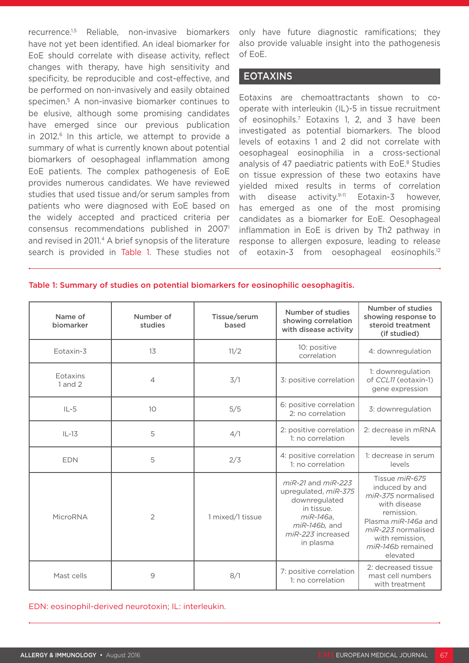recurrence.1,5 Reliable, non-invasive biomarkers have not yet been identified. An ideal biomarker for EoE should correlate with disease activity, reflect changes with therapy, have high sensitivity and specificity, be reproducible and cost-effective, and be performed on non-invasively and easily obtained specimen.5 A non-invasive biomarker continues to be elusive, although some promising candidates have emerged since our previous publication in 2012.<sup>6</sup> In this article, we attempt to provide a summary of what is currently known about potential biomarkers of oesophageal inflammation among EoE patients. The complex pathogenesis of EoE provides numerous candidates. We have reviewed studies that used tissue and/or serum samples from patients who were diagnosed with EoE based on the widely accepted and practiced criteria per consensus recommendations published in 20071 and revised in 2011.<sup>4</sup> A brief synopsis of the literature search is provided in Table 1. These studies not only have future diagnostic ramifications; they also provide valuable insight into the pathogenesis of EoE.

#### EOTAXINS

Eotaxins are chemoattractants shown to cooperate with interleukin (IL)-5 in tissue recruitment of eosinophils.7 Eotaxins 1, 2, and 3 have been investigated as potential biomarkers. The blood levels of eotaxins 1 and 2 did not correlate with oesophageal eosinophilia in a cross-sectional analysis of 47 paediatric patients with EoE.<sup>8</sup> Studies on tissue expression of these two eotaxins have yielded mixed results in terms of correlation with disease activity.<sup>9-11</sup> Eotaxin-3 however, has emerged as one of the most promising candidates as a biomarker for EoE. Oesophageal inflammation in EoE is driven by Th2 pathway in response to allergen exposure, leading to release of eotaxin-3 from oesophageal eosinophils.<sup>12</sup>

#### Table 1: Summary of studies on potential biomarkers for eosinophilic oesophagitis.

| Name of<br>biomarker    | Number of<br>studies | Tissue/serum<br>based | Number of studies<br>showing correlation<br>with disease activity                                                                             | Number of studies<br>showing response to<br>steroid treatment<br>(if studied)                                                                                                         |
|-------------------------|----------------------|-----------------------|-----------------------------------------------------------------------------------------------------------------------------------------------|---------------------------------------------------------------------------------------------------------------------------------------------------------------------------------------|
| Eotaxin-3               | 13                   | 11/2                  | 10: positive<br>correlation                                                                                                                   | 4: downregulation                                                                                                                                                                     |
| Eotaxins<br>$1$ and $2$ | $\overline{4}$       | 3/1                   | 3: positive correlation                                                                                                                       | 1: downregulation<br>of CCL11 (eotaxin-1)<br>gene expression                                                                                                                          |
| $IL-5$                  | 10                   | 5/5                   | 6: positive correlation<br>2: no correlation                                                                                                  | 3: downregulation                                                                                                                                                                     |
| $IL-13$                 | 5                    | 4/1                   | 2: positive correlation<br>1: no correlation                                                                                                  | 2: decrease in mRNA<br>levels                                                                                                                                                         |
| <b>EDN</b>              | 5                    | 2/3                   | 4: positive correlation<br>1: no correlation                                                                                                  | 1: decrease in serum<br>levels                                                                                                                                                        |
| MicroRNA                | $\overline{2}$       | 1 mixed/1 tissue      | $miR-21$ and $miR-223$<br>upregulated, miR-375<br>downregulated<br>in tissue.<br>miR-146a,<br>miR-146b, and<br>miR-223 increased<br>in plasma | Tissue miR-675<br>induced by and<br>miR-375 normalised<br>with disease<br>remission.<br>Plasma miR-146a and<br>miR-223 normalised<br>with remission,<br>miR-146b remained<br>elevated |
| Mast cells              | 9                    | 8/1                   | 7: positive correlation<br>1: no correlation                                                                                                  | 2: decreased tissue<br>mast cell numbers<br>with treatment                                                                                                                            |

EDN: eosinophil-derived neurotoxin; IL: interleukin.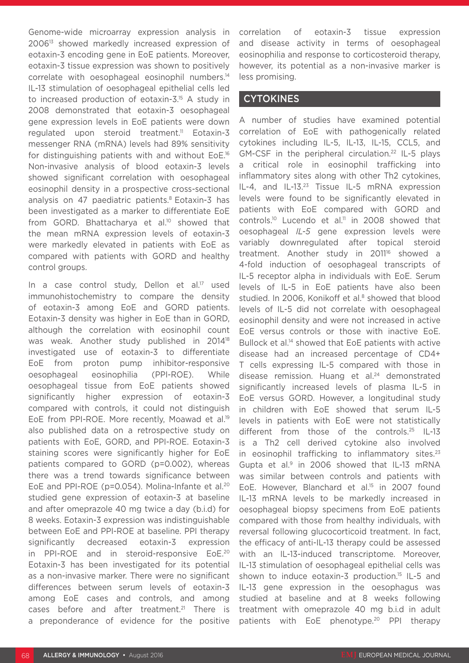Genome-wide microarray expression analysis in 200613 showed markedly increased expression of eotaxin-3 encoding gene in EoE patients. Moreover, eotaxin-3 tissue expression was shown to positively correlate with oesophageal eosinophil numbers.14 IL-13 stimulation of oesophageal epithelial cells led to increased production of eotaxin-3.15 A study in 2008 demonstrated that eotaxin-3 oesophageal gene expression levels in EoE patients were down regulated upon steroid treatment.<sup>11</sup> Eotaxin-3 messenger RNA (mRNA) levels had 89% sensitivity for distinguishing patients with and without EoE.16 Non-invasive analysis of blood eotaxin-3 levels showed significant correlation with oesophageal eosinophil density in a prospective cross-sectional analysis on 47 paediatric patients.<sup>8</sup> Eotaxin-3 has been investigated as a marker to differentiate EoE from GORD. Bhattacharya et al.<sup>10</sup> showed that the mean mRNA expression levels of eotaxin-3 were markedly elevated in patients with EoE as compared with patients with GORD and healthy control groups.

In a case control study, Dellon et al.<sup>17</sup> used immunohistochemistry to compare the density of eotaxin-3 among EoE and GORD patients. Eotaxin-3 density was higher in EoE than in GORD, although the correlation with eosinophil count was weak. Another study published in 201418 investigated use of eotaxin-3 to differentiate EoE from proton pump inhibitor-responsive oesophageal eosinophilia (PPI-ROE). While oesophageal tissue from EoE patients showed significantly higher expression of eotaxin-3 compared with controls, it could not distinguish EoE from PPI-ROE. More recently, Moawad et al.<sup>19</sup> also published data on a retrospective study on patients with EoE, GORD, and PPI-ROE. Eotaxin-3 staining scores were significantly higher for EoE patients compared to GORD (p=0.002), whereas there was a trend towards significance between EoE and PPI-ROE (p=0.054). Molina-Infante et al.20 studied gene expression of eotaxin-3 at baseline and after omeprazole 40 mg twice a day (b.i.d) for 8 weeks. Eotaxin-3 expression was indistinguishable between EoE and PPI-ROE at baseline. PPI therapy significantly decreased eotaxin-3 expression in PPI-ROE and in steroid-responsive EoE.20 Eotaxin-3 has been investigated for its potential as a non-invasive marker. There were no significant differences between serum levels of eotaxin-3 among EoE cases and controls, and among cases before and after treatment.<sup>21</sup> There is a preponderance of evidence for the positive

correlation of eotaxin-3 tissue expression and disease activity in terms of oesophageal eosinophilia and response to corticosteroid therapy, however, its potential as a non-invasive marker is less promising.

### **CYTOKINES**

A number of studies have examined potential correlation of EoE with pathogenically related cytokines including IL-5, IL-13, IL-15, CCL5, and GM-CSF in the peripheral circulation.<sup>22</sup> IL-5 plays a critical role in eosinophil trafficking into inflammatory sites along with other Th2 cytokines, IL-4, and IL-13.<sup>23</sup> Tissue IL-5 mRNA expression levels were found to be significantly elevated in patients with EoE compared with GORD and controls.10 Lucendo et al.11 in 2008 showed that oesophageal *IL-5* gene expression levels were variably downregulated after topical steroid treatment. Another study in 2011<sup>16</sup> showed a 4-fold induction of oesophageal transcripts of IL-5 receptor alpha in individuals with EoE. Serum levels of IL-5 in EoE patients have also been studied. In 2006, Konikoff et al.<sup>8</sup> showed that blood levels of IL-5 did not correlate with oesophageal eosinophil density and were not increased in active EoE versus controls or those with inactive EoE. Bullock et al.<sup>14</sup> showed that EoE patients with active disease had an increased percentage of CD4+ T cells expressing IL-5 compared with those in disease remission. Huang et al.<sup>24</sup> demonstrated significantly increased levels of plasma IL-5 in EoE versus GORD. However, a longitudinal study in children with EoE showed that serum IL-5 levels in patients with EoE were not statistically different from those of the controls.25 IL-13 is a Th2 cell derived cytokine also involved in eosinophil trafficking to inflammatory sites. $23$ Gupta et al. $9$  in 2006 showed that IL-13 mRNA was similar between controls and patients with EoE. However, Blanchard et al.<sup>15</sup> in 2007 found IL-13 mRNA levels to be markedly increased in oesophageal biopsy specimens from EoE patients compared with those from healthy individuals, with reversal following glucocorticoid treatment. In fact, the efficacy of anti-IL-13 therapy could be assessed with an IL-13-induced transcriptome. Moreover, IL-13 stimulation of oesophageal epithelial cells was shown to induce eotaxin-3 production.<sup>15</sup> IL-5 and IL-13 gene expression in the oesophagus was studied at baseline and at 8 weeks following treatment with omeprazole 40 mg b.i.d in adult patients with EoE phenotype.20 PPI therapy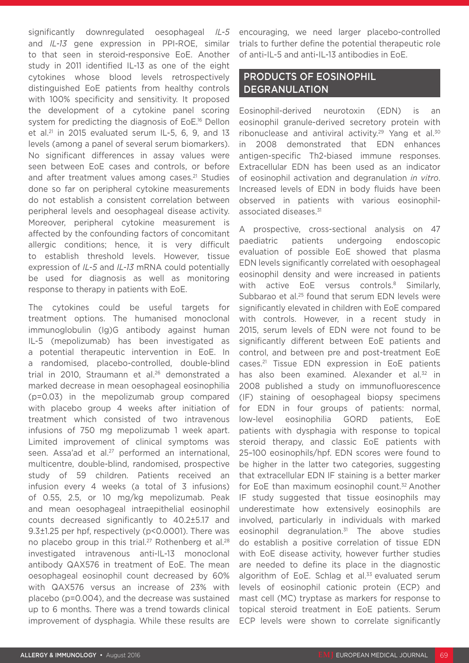significantly downregulated oesophageal *IL-5*  and *IL-13* gene expression in PPI-ROE, similar to that seen in steroid-responsive EoE. Another study in 2011 identified IL-13 as one of the eight cytokines whose blood levels retrospectively distinguished EoE patients from healthy controls with 100% specificity and sensitivity. It proposed the development of a cytokine panel scoring system for predicting the diagnosis of EoE.<sup>16</sup> Dellon et al. $21$  in 2015 evaluated serum IL-5, 6, 9, and 13 levels (among a panel of several serum biomarkers). No significant differences in assay values were seen between EoE cases and controls, or before and after treatment values among cases.<sup>21</sup> Studies done so far on peripheral cytokine measurements do not establish a consistent correlation between peripheral levels and oesophageal disease activity. Moreover, peripheral cytokine measurement is affected by the confounding factors of concomitant allergic conditions; hence, it is very difficult to establish threshold levels. However, tissue expression of *IL-5* and *IL-13* mRNA could potentially be used for diagnosis as well as monitoring response to therapy in patients with EoE.

The cytokines could be useful targets for treatment options. The humanised monoclonal immunoglobulin (Ig)G antibody against human IL-5 (mepolizumab) has been investigated as a potential therapeutic intervention in EoE. In a randomised, placebo-controlled, double-blind trial in 2010, Straumann et al.<sup>26</sup> demonstrated a marked decrease in mean oesophageal eosinophilia (p=0.03) in the mepolizumab group compared with placebo group 4 weeks after initiation of treatment which consisted of two intravenous infusions of 750 mg mepolizumab 1 week apart. Limited improvement of clinical symptoms was seen. Assa'ad et al.<sup>27</sup> performed an international. multicentre, double-blind, randomised, prospective study of 59 children. Patients received an infusion every 4 weeks (a total of 3 infusions) of 0.55, 2.5, or 10 mg/kg mepolizumab. Peak and mean oesophageal intraepithelial eosinophil counts decreased significantly to 40.2±5.17 and 9.3±1.25 per hpf, respectively (p<0.0001). There was no placebo group in this trial.<sup>27</sup> Rothenberg et al.<sup>28</sup> investigated intravenous anti-IL-13 monoclonal antibody QAX576 in treatment of EoE. The mean oesophageal eosinophil count decreased by 60% with QAX576 versus an increase of 23% with placebo (p=0.004), and the decrease was sustained up to 6 months. There was a trend towards clinical improvement of dysphagia. While these results are

encouraging, we need larger placebo-controlled trials to further define the potential therapeutic role of anti-IL-5 and anti-IL-13 antibodies in EoE.

# PRODUCTS OF EOSINOPHIL DEGRANULATION

Eosinophil-derived neurotoxin (EDN) is an eosinophil granule-derived secretory protein with ribonuclease and antiviral activity.<sup>29</sup> Yang et al.<sup>30</sup> in 2008 demonstrated that EDN enhances antigen-specific Th2-biased immune responses. Extracellular EDN has been used as an indicator of eosinophil activation and degranulation *in vitro*. Increased levels of EDN in body fluids have been observed in patients with various eosinophilassociated diseases.<sup>31</sup>

A prospective, cross-sectional analysis on 47 paediatric patients undergoing endoscopic evaluation of possible EoE showed that plasma EDN levels significantly correlated with oesophageal eosinophil density and were increased in patients with active EoE versus controls.<sup>8</sup> Similarly, Subbarao et al.<sup>25</sup> found that serum EDN levels were significantly elevated in children with EoE compared with controls. However, in a recent study in 2015, serum levels of EDN were not found to be significantly different between EoE patients and control, and between pre and post-treatment EoE cases.21 Tissue EDN expression in EoE patients has also been examined. Alexander et al.<sup>32</sup> in 2008 published a study on immunofluorescence (IF) staining of oesophageal biopsy specimens for EDN in four groups of patients: normal, low-level eosinophilia GORD patients, EoE patients with dysphagia with response to topical steroid therapy, and classic EoE patients with 25–100 eosinophils/hpf. EDN scores were found to be higher in the latter two categories, suggesting that extracellular EDN IF staining is a better marker for EoE than maximum eosinophil count.<sup>32</sup> Another IF study suggested that tissue eosinophils may underestimate how extensively eosinophils are involved, particularly in individuals with marked eosinophil degranulation.<sup>31</sup> The above studies do establish a positive correlation of tissue EDN with EoE disease activity, however further studies are needed to define its place in the diagnostic algorithm of EoE. Schlag et al.<sup>33</sup> evaluated serum levels of eosinophil cationic protein (ECP) and mast cell (MC) tryptase as markers for response to topical steroid treatment in EoE patients. Serum ECP levels were shown to correlate significantly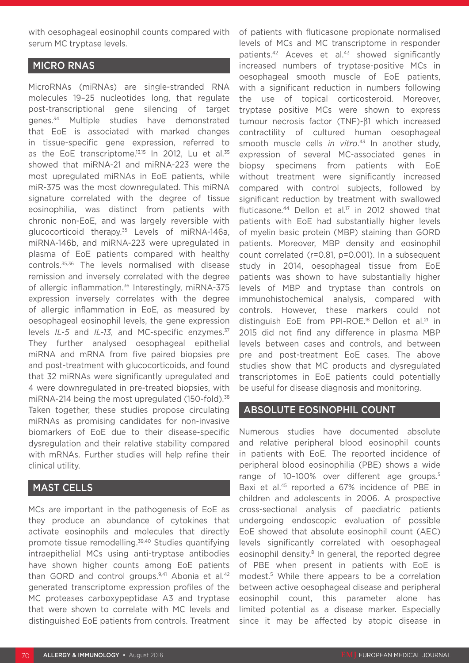with oesophageal eosinophil counts compared with serum MC tryptase levels.

#### MICRO RNAS

MicroRNAs (miRNAs) are single-stranded RNA molecules 19–25 nucleotides long, that regulate post-transcriptional gene silencing of target genes.<sup>34</sup> Multiple studies have demonstrated that EoE is associated with marked changes in tissue-specific gene expression, referred to as the EoE transcriptome.<sup>13,15</sup> In 2012, Lu et al.<sup>35</sup> showed that miRNA-21 and miRNA-223 were the most upregulated miRNAs in EoE patients, while miR-375 was the most downregulated. This miRNA signature correlated with the degree of tissue eosinophilia, was distinct from patients with chronic non-EoE, and was largely reversible with glucocorticoid therapy.35 Levels of miRNA-146a, miRNA-146b, and miRNA-223 were upregulated in plasma of EoE patients compared with healthy controls.35,36 The levels normalised with disease remission and inversely correlated with the degree of allergic inflammation.<sup>36</sup> Interestingly, miRNA-375 expression inversely correlates with the degree of allergic inflammation in EoE, as measured by oesophageal eosinophil levels, the gene expression levels *IL-5* and *IL-13*, and MC-specific enzymes.<sup>37</sup> They further analysed oesophageal epithelial miRNA and mRNA from five paired biopsies pre and post-treatment with glucocorticoids, and found that 32 miRNAs were significantly upregulated and 4 were downregulated in pre-treated biopsies, with miRNA-214 being the most upregulated (150-fold).<sup>38</sup> Taken together, these studies propose circulating miRNAs as promising candidates for non-invasive biomarkers of EoE due to their disease-specific dysregulation and their relative stability compared with mRNAs. Further studies will help refine their clinical utility.

#### MAST CELLS

MCs are important in the pathogenesis of EoE as they produce an abundance of cytokines that activate eosinophils and molecules that directly promote tissue remodelling.39,40 Studies quantifying intraepithelial MCs using anti-tryptase antibodies have shown higher counts among EoE patients than GORD and control groups.<sup>9,41</sup> Abonia et al.<sup>42</sup> generated transcriptome expression profiles of the MC proteases carboxypeptidase A3 and tryptase that were shown to correlate with MC levels and distinguished EoE patients from controls. Treatment of patients with fluticasone propionate normalised levels of MCs and MC transcriptome in responder patients.<sup>42</sup> Aceves et al.<sup>43</sup> showed significantly increased numbers of tryptase-positive MCs in oesophageal smooth muscle of EoE patients, with a significant reduction in numbers following the use of topical corticosteroid. Moreover, tryptase positive MCs were shown to express tumour necrosis factor (TNF)-β1 which increased contractility of cultured human oesophageal smooth muscle cells *in vitro*. 43 In another study, expression of several MC-associated genes in biopsy specimens from patients with EoE without treatment were significantly increased compared with control subjects, followed by significant reduction by treatment with swallowed fluticasone.<sup>44</sup> Dellon et al.<sup>17</sup> in 2012 showed that patients with EoE had substantially higher levels of myelin basic protein (MBP) staining than GORD patients. Moreover, MBP density and eosinophil count correlated (r=0.81, p=0.001). In a subsequent study in 2014, oesophageal tissue from EoE patients was shown to have substantially higher levels of MBP and tryptase than controls on immunohistochemical analysis, compared with controls. However, these markers could not distinguish EoE from PPI-ROE.<sup>18</sup> Dellon et al.<sup>21</sup> in 2015 did not find any difference in plasma MBP levels between cases and controls, and between pre and post-treatment EoE cases. The above studies show that MC products and dysregulated transcriptomes in EoE patients could potentially be useful for disease diagnosis and monitoring.

#### ABSOLUTE EOSINOPHIL COUNT

Numerous studies have documented absolute and relative peripheral blood eosinophil counts in patients with EoE. The reported incidence of peripheral blood eosinophilia (PBE) shows a wide range of 10-100% over different age groups.<sup>5</sup> Baxi et al.45 reported a 67% incidence of PBE in children and adolescents in 2006. A prospective cross-sectional analysis of paediatric patients undergoing endoscopic evaluation of possible EoE showed that absolute eosinophil count (AEC) levels significantly correlated with oesophageal eosinophil density.<sup>8</sup> In general, the reported degree of PBE when present in patients with EoE is modest.5 While there appears to be a correlation between active oesophageal disease and peripheral eosinophil count, this parameter alone has limited potential as a disease marker. Especially since it may be affected by atopic disease in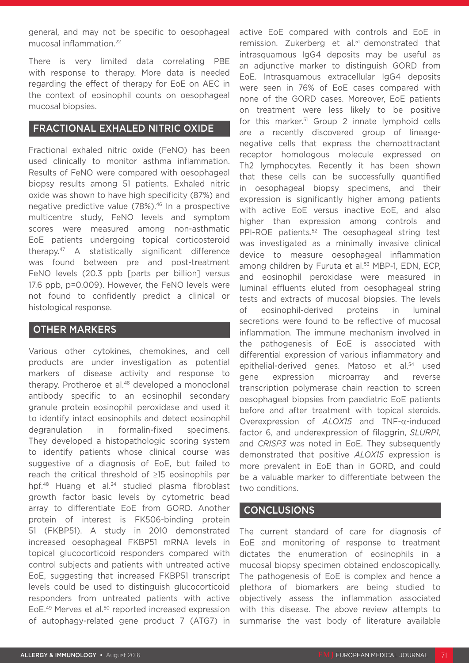general, and may not be specific to oesophageal mucosal inflammation.22

There is very limited data correlating PBE with response to therapy. More data is needed regarding the effect of therapy for EoE on AEC in the context of eosinophil counts on oesophageal mucosal biopsies.

#### FRACTIONAL EXHALED NITRIC OXIDE

Fractional exhaled nitric oxide (FeNO) has been used clinically to monitor asthma inflammation. Results of FeNO were compared with oesophageal biopsy results among 51 patients. Exhaled nitric oxide was shown to have high specificity (87%) and negative predictive value (78%).46 In a prospective multicentre study, FeNO levels and symptom scores were measured among non-asthmatic EoE patients undergoing topical corticosteroid therapy.47 A statistically significant difference was found between pre and post-treatment FeNO levels (20.3 ppb [parts per billion] versus 17.6 ppb, p=0.009). However, the FeNO levels were not found to confidently predict a clinical or histological response.

#### OTHER MARKERS

Various other cytokines, chemokines, and cell products are under investigation as potential markers of disease activity and response to therapy. Protheroe et al.<sup>48</sup> developed a monoclonal antibody specific to an eosinophil secondary granule protein eosinophil peroxidase and used it to identify intact eosinophils and detect eosinophil degranulation in formalin-fixed specimens. They developed a histopathologic scoring system to identify patients whose clinical course was suggestive of a diagnosis of EoE, but failed to reach the critical threshold of ≥15 eosinophils per hpf.<sup>48</sup> Huang et al.<sup>24</sup> studied plasma fibroblast growth factor basic levels by cytometric bead array to differentiate EoE from GORD. Another protein of interest is FK506-binding protein 51 (FKBP51). A study in 2010 demonstrated increased oesophageal FKBP51 mRNA levels in topical glucocorticoid responders compared with control subjects and patients with untreated active EoE, suggesting that increased FKBP51 transcript levels could be used to distinguish glucocorticoid responders from untreated patients with active EoE.49 Merves et al.50 reported increased expression of autophagy-related gene product 7 (ATG7) in

active EoE compared with controls and EoE in remission. Zukerberg et al.<sup>51</sup> demonstrated that intrasquamous IgG4 deposits may be useful as an adjunctive marker to distinguish GORD from EoE. Intrasquamous extracellular IgG4 deposits were seen in 76% of EoE cases compared with none of the GORD cases. Moreover, EoE patients on treatment were less likely to be positive for this marker.51 Group 2 innate lymphoid cells are a recently discovered group of lineagenegative cells that express the chemoattractant receptor homologous molecule expressed on Th2 lymphocytes. Recently it has been shown that these cells can be successfully quantified in oesophageal biopsy specimens, and their expression is significantly higher among patients with active EoE versus inactive EoE, and also higher than expression among controls and PPI-ROE patients.<sup>52</sup> The oesophageal string test was investigated as a minimally invasive clinical device to measure oesophageal inflammation among children by Furuta et al.<sup>53</sup> MBP-1, EDN, ECP, and eosinophil peroxidase were measured in luminal effluents eluted from oesophageal string tests and extracts of mucosal biopsies. The levels of eosinophil-derived proteins in luminal secretions were found to be reflective of mucosal inflammation. The immune mechanism involved in the pathogenesis of EoE is associated with differential expression of various inflammatory and epithelial-derived genes. Matoso et al.<sup>54</sup> used gene expression microarray and reverse transcription polymerase chain reaction to screen oesophageal biopsies from paediatric EoE patients before and after treatment with topical steroids. Overexpression of *ALOX15* and TNF-α-induced factor 6, and underexpression of filaggrin, *SLURP1*, and *CRISP3* was noted in EoE. They subsequently demonstrated that positive *ALOX15* expression is more prevalent in EoE than in GORD, and could be a valuable marker to differentiate between the two conditions.

#### CONCLUSIONS

The current standard of care for diagnosis of EoE and monitoring of response to treatment dictates the enumeration of eosinophils in a mucosal biopsy specimen obtained endoscopically. The pathogenesis of EoE is complex and hence a plethora of biomarkers are being studied to objectively assess the inflammation associated with this disease. The above review attempts to summarise the vast body of literature available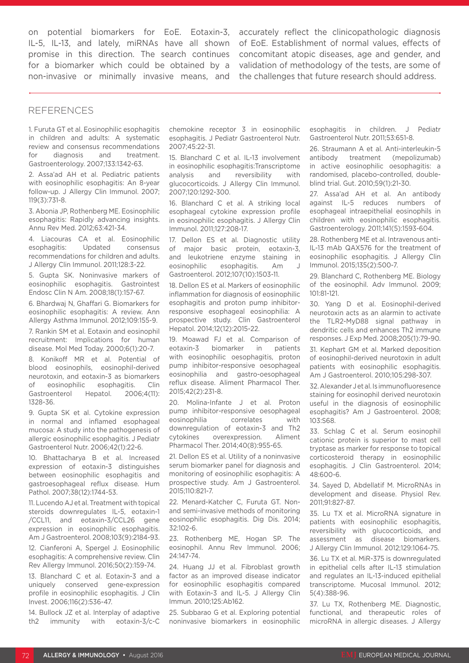on potential biomarkers for EoE. Eotaxin-3, IL-5, IL-13, and lately, miRNAs have all shown promise in this direction. The search continues for a biomarker which could be obtained by a non-invasive or minimally invasive means, and

accurately reflect the clinicopathologic diagnosis of EoE. Establishment of normal values, effects of concomitant atopic diseases, age and gender, and validation of methodology of the tests, are some of the challenges that future research should address.

#### REFERENCES

1. Furuta GT et al. Eosinophilic esophagitis in children and adults: A systematic review and consensus recommendations for diagnosis and treatment. Gastroenterology. 2007;133:1342-63.

2. Assa'ad AH et al. Pediatric patients with eosinophilic esophagitis: An 8-year follow-up. J Allergy Clin Immunol. 2007; 119(3):731-8.

3. Abonia JP, Rothenberg ME. Eosinophilic esophagitis: Rapidly advancing insights. Annu Rev Med. 2012;63:421-34.

4. Liacouras CA et al. Eosinophilic esophagitis: Updated consensus recommendations for children and adults. J Allergy Clin Immunol. 2011;128:3-22.

5. Gupta SK. Noninvasive markers of eosinophilic esophagitis. Gastrointest Endosc Clin N Am. 2008;18(1):157-67.

6. Bhardwaj N, Ghaffari G. Biomarkers for eosinophilic esophagitis: A review. Ann Allergy Asthma Immunol. 2012;109:155-9.

7. Rankin SM et al. Eotaxin and eosinophil recruitment: Implications for human disease. Mol Med Today. 2000;6(1):20-7.

8. Konikoff MR et al. Potential of blood eosinophils, eosinophil-derived neurotoxin, and eotaxin-3 as biomarkers of eosinophilic esophagitis. Clin Gastroenterol Hepatol. 2006;4(11): 1328-36.

9. Gupta SK et al. Cytokine expression in normal and inflamed esophageal mucosa: A study into the pathogenesis of allergic eosinophilic esophagitis. J Pediatr Gastroenterol Nutr. 2006;42(1):22-6.

10. Bhattacharya B et al. Increased expression of eotaxin-3 distinguishes between eosinophilic esophagitis and gastroesophageal reflux disease. Hum Pathol. 2007;38(12):1744-53.

11. Lucendo AJ et al. Treatment with topical steroids downregulates IL-5, eotaxin-1 /CCL11, and eotaxin-3/CCL26 gene expression in eosinophilic esophagitis. Am J Gastroenterol. 2008;103(9):2184-93.

12. Cianferoni A, Spergel J. Eosinophilic esophagitis: A comprehensive review. Clin Rev Allergy Immunol. 2016;50(2):159-74.

13. Blanchard C et al. Eotaxin-3 and a uniquely conserved gene-expression profile in eosinophilic esophagitis. J Clin Invest. 2006;116(2):536-47.

14. Bullock JZ et al. Interplay of adaptive th2 immunity with eotaxin-3/c-C

chemokine receptor 3 in eosinophilic esophagitis. J Pediatr Gastroenterol Nutr. 2007;45:22-31.

15. Blanchard C et al. IL-13 involvement in eosinophilic esophagitis:Transcriptome analysis and reversibility with glucocorticoids. J Allergy Clin Immunol. 2007;120:1292-300.

16. Blanchard C et al. A striking local esophageal cytokine expression profile in eosinophilic esophagitis. J Allergy Clin Immunol. 2011;127:208-17.

17. Dellon ES et al. Diagnostic utility of major basic protein, eotaxin-3, and leukotriene enzyme staining in eosinophilic esophagitis. Am J Gastroenterol. 2012;107(10):1503-11.

18. Dellon ES et al. Markers of eosinophilic inflammation for diagnosis of eosinophilic esophagitis and proton pump inhibitorresponsive esophageal eosinophilia: A prospective study. Clin Gastroenterol Hepatol. 2014;12(12):2015-22.

19. Moawad FJ et al. Comparison of eotaxin-3 biomarker in patients with eosinophilic oesophagitis, proton pump inhibitor-responsive oesophageal eosinophilia and gastro-oesophageal reflux disease. Aliment Pharmacol Ther. 2015;42(2):231-8.

20. Molina-Infante J et al. Proton pump inhibitor-responsive oesophageal eosinophilia correlates with downregulation of eotaxin-3 and Th2 cytokines overexpression. Aliment Pharmacol Ther. 2014;40(8):955-65.

21. Dellon ES et al. Utility of a noninvasive serum biomarker panel for diagnosis and monitoring of eosinophilic esophagitis: A prospective study. Am J Gastroenterol. 2015;110:821-7.

22. Menard-Katcher C, Furuta GT. Nonand semi-invasive methods of monitoring eosinophilic esophagitis. Dig Dis. 2014; 32:102-6.

23. Rothenberg ME, Hogan SP. The eosinophil. Annu Rev Immunol. 2006; 24:147-74.

24. Huang JJ et al. Fibroblast growth factor as an improved disease indicator for eosinophilic esophagitis compared with Eotaxin-3 and IL-5. J Allergy Clin Immun. 2010;125:Ab162.

25. Subbarao G et al. Exploring potential noninvasive biomarkers in eosinophilic esophagitis in children. J Pediatr Gastroenterol Nutr. 2011;53:651-8.

26. Straumann A et al. Anti-interleukin-5 antibody treatment (mepolizumab) in active eosinophilic oesophagitis: a randomised, placebo-controlled, doubleblind trial. Gut. 2010;59(1):21-30.

27. Assa'ad AH et al. An antibody against IL-5 reduces numbers of esophageal intraepithelial eosinophils in children with eosinophilic esophagitis. Gastroenterology. 2011;141(5):1593-604.

28. Rothenberg ME et al. Intravenous anti-IL-13 mAb QAX576 for the treatment of eosinophilic esophagitis. J Allergy Clin Immunol. 2015;135(2):500-7.

29. Blanchard C, Rothenberg ME. Biology of the eosinophil. Adv Immunol. 2009; 101:81-121.

30. Yang D et al. Eosinophil-derived neurotoxin acts as an alarmin to activate the TLR2-MyD88 signal pathway in dendritic cells and enhances Th2 immune responses. J Exp Med. 2008;205(1):79-90.

31. Kephart GM et al. Marked deposition of eosinophil-derived neurotoxin in adult patients with eosinophilic esophagitis. Am J Gastroenterol. 2010;105:298-307.

32. Alexander J et al. Is immunofluoresence staining for eosinophil derived neurotoxin useful in the diagnosis of eosinophilic esophagitis? Am J Gastroenterol. 2008; 103:S68.

33. Schlag C et al. Serum eosinophil cationic protein is superior to mast cell tryptase as marker for response to topical corticosteroid therapy in eosinophilic esophagitis. J Clin Gastroenterol. 2014; 48:600-6.

34. Sayed D, Abdellatif M. MicroRNAs in development and disease. Physiol Rev. 2011;91:827-87.

35. Lu TX et al. MicroRNA signature in patients with eosinophilic esophagitis, reversibility with glucocorticoids, and assessment as disease biomarkers. J Allergy Clin Immunol. 2012;129:1064-75.

36. Lu TX et al. MiR-375 is downregulated in epithelial cells after IL-13 stimulation and regulates an IL-13-induced epithelial transcriptome. Mucosal Immunol. 2012; 5(4):388-96.

37. Lu TX, Rothenberg ME. Diagnostic, functional, and therapeutic roles of microRNA in allergic diseases. J Allergy